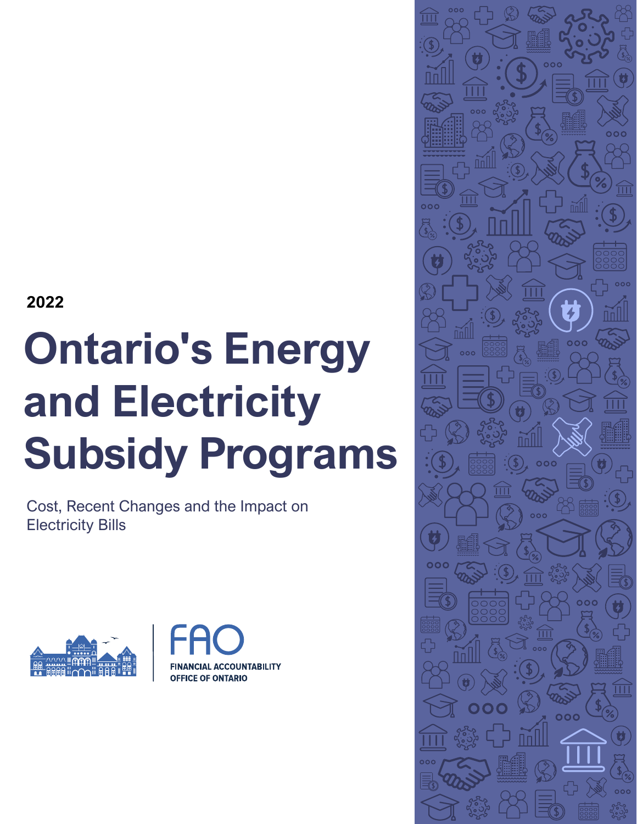**2022**

# **Ontario's Energy and Electricity Subsidy Programs**

Cost, Recent Changes and the Impact on Electricity Bills





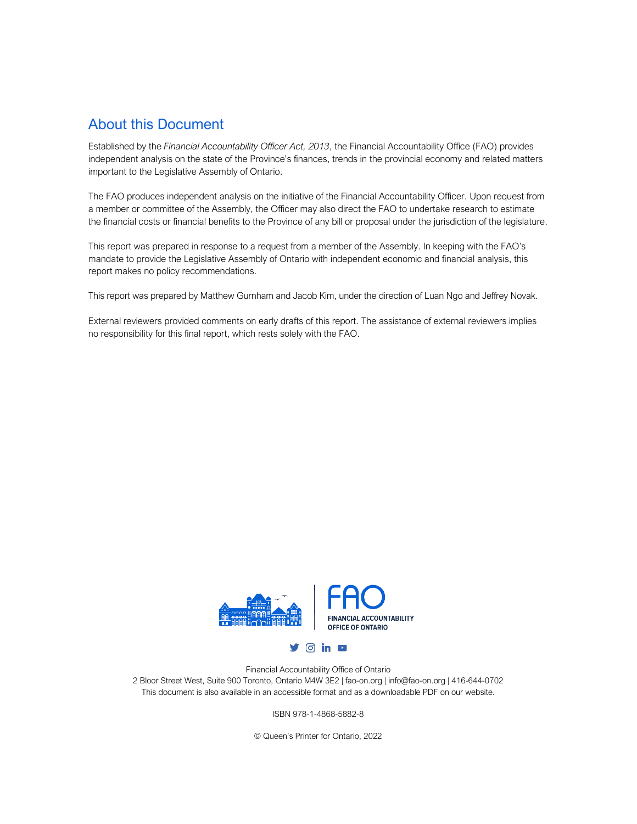#### About this Document

Established by the *Financial Accountability Officer Act, 2013*, the Financial Accountability Office (FAO) provides independent analysis on the state of the Province's finances, trends in the provincial economy and related matters important to the Legislative Assembly of Ontario.

The FAO produces independent analysis on the initiative of the Financial Accountability Officer. Upon request from a member or committee of the Assembly, the Officer may also direct the FAO to undertake research to estimate the financial costs or financial benefits to the Province of any bill or proposal under the jurisdiction of the legislature.

This report was prepared in response to a request from a member of the Assembly. In keeping with the FAO's mandate to provide the Legislative Assembly of Ontario with independent economic and financial analysis, this report makes no policy recommendations.

This report was prepared by Matthew Gurnham and Jacob Kim, under the direction of Luan Ngo and Jeffrey Novak.

External reviewers provided comments on early drafts of this report. The assistance of external reviewers implies no responsibility for this final report, which rests solely with the FAO.



Financial Accountability Office of Ontario 2 Bloor Street West, Suite 900 Toronto, Ontario M4W 3E2 | fao-on.org | info@fao-on.org | 416-644-0702 This document is also available in an accessible format and as a downloadable PDF on our website.

ISBN 978-1-4868-5882-8

© Queen's Printer for Ontario, 2022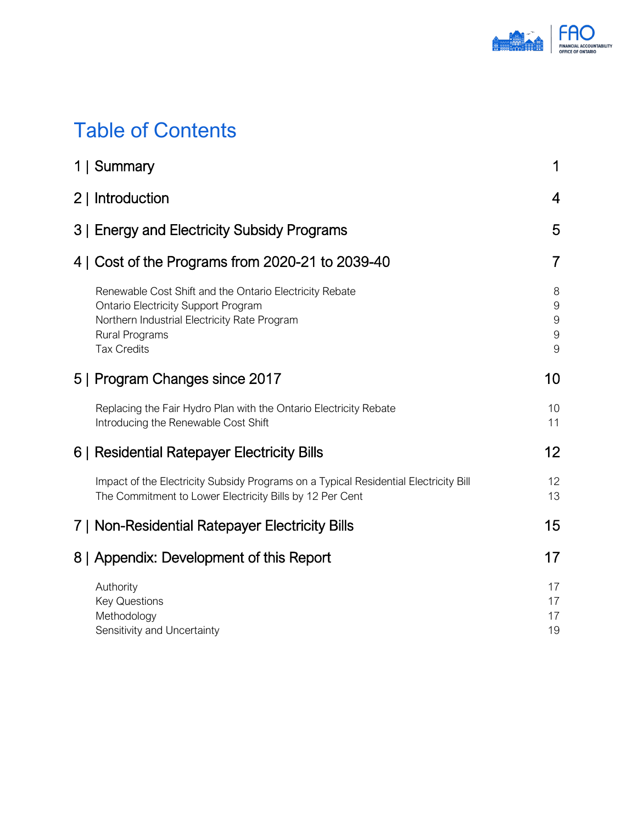

## Table of Contents

| 1   Summary                                                                                                                                                                                          | 1                                                |
|------------------------------------------------------------------------------------------------------------------------------------------------------------------------------------------------------|--------------------------------------------------|
| 2   Introduction                                                                                                                                                                                     | $\overline{4}$                                   |
| 3   Energy and Electricity Subsidy Programs                                                                                                                                                          | 5                                                |
| 4   Cost of the Programs from 2020-21 to 2039-40                                                                                                                                                     | $\overline{7}$                                   |
| Renewable Cost Shift and the Ontario Electricity Rebate<br><b>Ontario Electricity Support Program</b><br>Northern Industrial Electricity Rate Program<br><b>Rural Programs</b><br><b>Tax Credits</b> | 8<br>$\boldsymbol{9}$<br>$\mathbf 9$<br>$9$<br>9 |
| 5   Program Changes since 2017                                                                                                                                                                       | 10                                               |
| Replacing the Fair Hydro Plan with the Ontario Electricity Rebate<br>Introducing the Renewable Cost Shift                                                                                            | 10<br>11                                         |
| 6   Residential Ratepayer Electricity Bills                                                                                                                                                          | 12 <sup>2</sup>                                  |
| Impact of the Electricity Subsidy Programs on a Typical Residential Electricity Bill<br>The Commitment to Lower Electricity Bills by 12 Per Cent                                                     | 12<br>13                                         |
| 7   Non-Residential Ratepayer Electricity Bills                                                                                                                                                      | 15                                               |
| 8   Appendix: Development of this Report                                                                                                                                                             | 17                                               |
| Authority<br><b>Key Questions</b><br>Methodology<br>Sensitivity and Uncertainty                                                                                                                      | 17<br>17<br>17<br>19                             |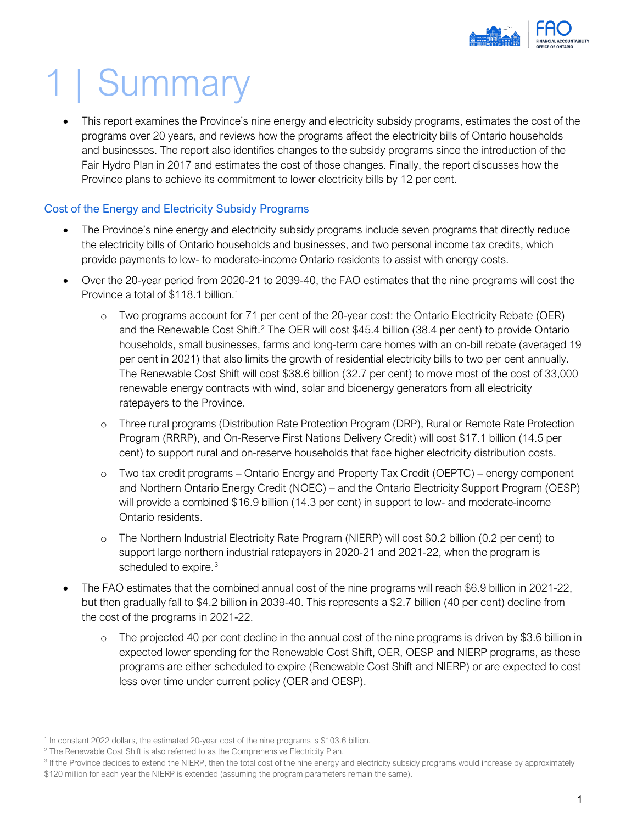

## <span id="page-3-0"></span>1 | Summary

• This report examines the Province's nine energy and electricity subsidy programs, estimates the cost of the programs over 20 years, and reviews how the programs affect the electricity bills of Ontario households and businesses. The report also identifies changes to the subsidy programs since the introduction of the Fair Hydro Plan in 2017 and estimates the cost of those changes. Finally, the report discusses how the Province plans to achieve its commitment to lower electricity bills by 12 per cent.

#### Cost of the Energy and Electricity Subsidy Programs

- The Province's nine energy and electricity subsidy programs include seven programs that directly reduce the electricity bills of Ontario households and businesses, and two personal income tax credits, which provide payments to low- to moderate-income Ontario residents to assist with energy costs.
- Over the 20-year period from 2020-21 to 2039-40, the FAO estimates that the nine programs will cost the Province a total of \$[1](#page-3-1)18.1 billion.<sup>1</sup>
	- Two programs account for 71 per cent of the 20-year cost: the Ontario Electricity Rebate (OER) and the Renewable Cost Shift.<sup>[2](#page-3-2)</sup> The OER will cost \$45.4 billion (38.4 per cent) to provide Ontario households, small businesses, farms and long-term care homes with an on-bill rebate (averaged 19 per cent in 2021) that also limits the growth of residential electricity bills to two per cent annually. The Renewable Cost Shift will cost \$38.6 billion (32.7 per cent) to move most of the cost of 33,000 renewable energy contracts with wind, solar and bioenergy generators from all electricity ratepayers to the Province.
	- o Three rural programs (Distribution Rate Protection Program (DRP), Rural or Remote Rate Protection Program (RRRP), and On-Reserve First Nations Delivery Credit) will cost \$17.1 billion (14.5 per cent) to support rural and on-reserve households that face higher electricity distribution costs.
	- o Two tax credit programs Ontario Energy and Property Tax Credit (OEPTC) energy component and Northern Ontario Energy Credit (NOEC) – and the Ontario Electricity Support Program (OESP) will provide a combined \$16.9 billion (14.3 per cent) in support to low- and moderate-income Ontario residents.
	- o The Northern Industrial Electricity Rate Program (NIERP) will cost \$0.2 billion (0.2 per cent) to support large northern industrial ratepayers in 2020-21 and 2021-22, when the program is scheduled to expire.<sup>[3](#page-3-3)</sup>
- The FAO estimates that the combined annual cost of the nine programs will reach \$6.9 billion in 2021-22, but then gradually fall to \$4.2 billion in 2039-40. This represents a \$2.7 billion (40 per cent) decline from the cost of the programs in 2021-22.
	- $\circ$  The projected 40 per cent decline in the annual cost of the nine programs is driven by \$3.6 billion in expected lower spending for the Renewable Cost Shift, OER, OESP and NIERP programs, as these programs are either scheduled to expire (Renewable Cost Shift and NIERP) or are expected to cost less over time under current policy (OER and OESP).

<span id="page-3-1"></span><sup>1</sup> In constant 2022 dollars, the estimated 20-year cost of the nine programs is \$103.6 billion.

<span id="page-3-2"></span><sup>&</sup>lt;sup>2</sup> The Renewable Cost Shift is also referred to as the Comprehensive Electricity Plan.

<span id="page-3-3"></span><sup>&</sup>lt;sup>3</sup> If the Province decides to extend the NIERP, then the total cost of the nine energy and electricity subsidy programs would increase by approximately

<sup>\$120</sup> million for each year the NIERP is extended (assuming the program parameters remain the same).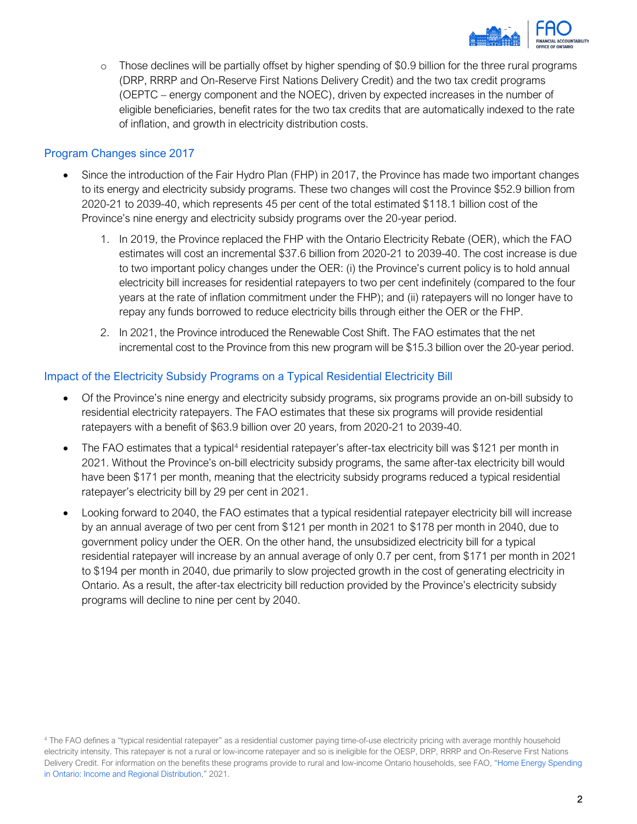

o Those declines will be partially offset by higher spending of \$0.9 billion for the three rural programs (DRP, RRRP and On-Reserve First Nations Delivery Credit) and the two tax credit programs (OEPTC – energy component and the NOEC), driven by expected increases in the number of eligible beneficiaries, benefit rates for the two tax credits that are automatically indexed to the rate of inflation, and growth in electricity distribution costs.

#### Program Changes since 2017

- Since the introduction of the Fair Hydro Plan (FHP) in 2017, the Province has made two important changes to its energy and electricity subsidy programs. These two changes will cost the Province \$52.9 billion from 2020-21 to 2039-40, which represents 45 per cent of the total estimated \$118.1 billion cost of the Province's nine energy and electricity subsidy programs over the 20-year period.
	- 1. In 2019, the Province replaced the FHP with the Ontario Electricity Rebate (OER), which the FAO estimates will cost an incremental \$37.6 billion from 2020-21 to 2039-40. The cost increase is due to two important policy changes under the OER: (i) the Province's current policy is to hold annual electricity bill increases for residential ratepayers to two per cent indefinitely (compared to the four years at the rate of inflation commitment under the FHP); and (ii) ratepayers will no longer have to repay any funds borrowed to reduce electricity bills through either the OER or the FHP.
	- 2. In 2021, the Province introduced the Renewable Cost Shift. The FAO estimates that the net incremental cost to the Province from this new program will be \$15.3 billion over the 20-year period.

#### Impact of the Electricity Subsidy Programs on a Typical Residential Electricity Bill

- Of the Province's nine energy and electricity subsidy programs, six programs provide an on-bill subsidy to residential electricity ratepayers. The FAO estimates that these six programs will provide residential ratepayers with a benefit of \$63.9 billion over 20 years, from 2020-21 to 2039-40.
- The FAO estimates that a typical<sup>[4](#page-4-0)</sup> residential ratepayer's after-tax electricity bill was \$121 per month in 2021. Without the Province's on-bill electricity subsidy programs, the same after-tax electricity bill would have been \$171 per month, meaning that the electricity subsidy programs reduced a typical residential ratepayer's electricity bill by 29 per cent in 2021.
- Looking forward to 2040, the FAO estimates that a typical residential ratepayer electricity bill will increase by an annual average of two per cent from \$121 per month in 2021 to \$178 per month in 2040, due to government policy under the OER. On the other hand, the unsubsidized electricity bill for a typical residential ratepayer will increase by an annual average of only 0.7 per cent, from \$171 per month in 2021 to \$194 per month in 2040, due primarily to slow projected growth in the cost of generating electricity in Ontario. As a result, the after-tax electricity bill reduction provided by the Province's electricity subsidy programs will decline to nine per cent by 2040.

<span id="page-4-0"></span><sup>4</sup> The FAO defines a "typical residential ratepayer" as a residential customer paying time-of-use electricity pricing with average monthly household electricity intensity. This ratepayer is not a rural or low-income ratepayer and so is ineligible for the OESP, DRP, RRRP and On-Reserve First Nations Delivery Credit. For information on the benefits these programs provide to rural and low-income Ontario households, see FAO, ["Home Energy Spending](https://www.fao-on.org/en/Blog/Publications/home-energy-2021)  [in Ontario: Income and Regional Distribution,"](https://www.fao-on.org/en/Blog/Publications/home-energy-2021) 2021.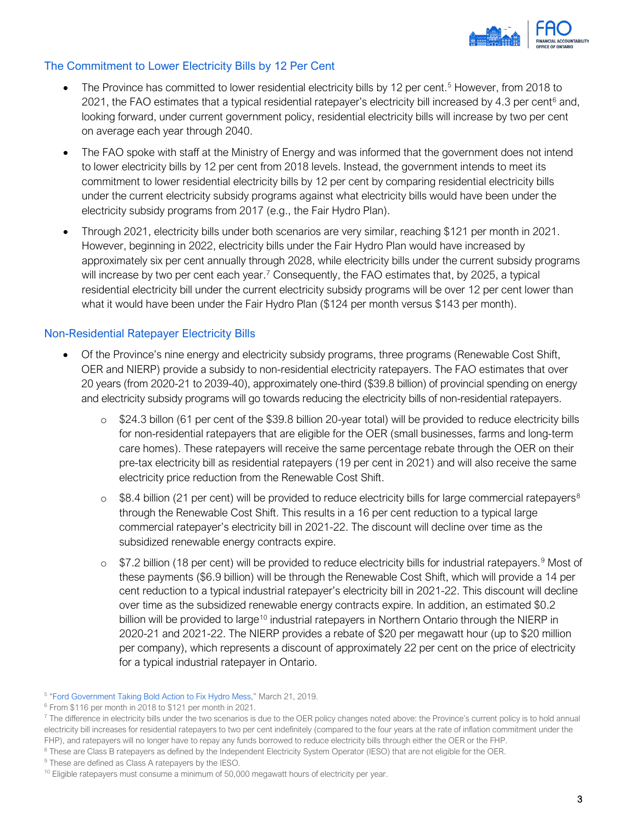

#### The Commitment to Lower Electricity Bills by 12 Per Cent

- The Province has committed to lower residential electricity bills by 12 per cent.<sup>5</sup> However, from 2018 to 2021, the FAO estimates that a typical residential ratepayer's electricity bill increased by 4.3 per cent $6$  and, looking forward, under current government policy, residential electricity bills will increase by two per cent on average each year through 2040.
- The FAO spoke with staff at the Ministry of Energy and was informed that the government does not intend to lower electricity bills by 12 per cent from 2018 levels. Instead, the government intends to meet its commitment to lower residential electricity bills by 12 per cent by comparing residential electricity bills under the current electricity subsidy programs against what electricity bills would have been under the electricity subsidy programs from 2017 (e.g., the Fair Hydro Plan).
- Through 2021, electricity bills under both scenarios are very similar, reaching \$121 per month in 2021. However, beginning in 2022, electricity bills under the Fair Hydro Plan would have increased by approximately six per cent annually through 2028, while electricity bills under the current subsidy programs will increase by two per cent each year.<sup>[7](#page-5-2)</sup> Consequently, the FAO estimates that, by 2025, a typical residential electricity bill under the current electricity subsidy programs will be over 12 per cent lower than what it would have been under the Fair Hydro Plan (\$124 per month versus \$143 per month).

#### Non-Residential Ratepayer Electricity Bills

- Of the Province's nine energy and electricity subsidy programs, three programs (Renewable Cost Shift, OER and NIERP) provide a subsidy to non-residential electricity ratepayers. The FAO estimates that over 20 years (from 2020-21 to 2039-40), approximately one-third (\$39.8 billion) of provincial spending on energy and electricity subsidy programs will go towards reducing the electricity bills of non-residential ratepayers.
	- o \$24.3 billon (61 per cent of the \$39.8 billion 20-year total) will be provided to reduce electricity bills for non-residential ratepayers that are eligible for the OER (small businesses, farms and long-term care homes). These ratepayers will receive the same percentage rebate through the OER on their pre-tax electricity bill as residential ratepayers (19 per cent in 2021) and will also receive the same electricity price reduction from the Renewable Cost Shift.
	- $\circ$  \$[8](#page-5-3).4 billion (21 per cent) will be provided to reduce electricity bills for large commercial ratepayers<sup>8</sup> through the Renewable Cost Shift. This results in a 16 per cent reduction to a typical large commercial ratepayer's electricity bill in 2021-22. The discount will decline over time as the subsidized renewable energy contracts expire.
	- $\circ$  \$7.2 billion (18 per cent) will be provided to reduce electricity bills for industrial ratepayers.<sup>[9](#page-5-4)</sup> Most of these payments (\$6.9 billion) will be through the Renewable Cost Shift, which will provide a 14 per cent reduction to a typical industrial ratepayer's electricity bill in 2021-22. This discount will decline over time as the subsidized renewable energy contracts expire. In addition, an estimated \$0.2 billion will be provided to large<sup>[10](#page-5-5)</sup> industrial ratepayers in Northern Ontario through the NIERP in 2020-21 and 2021-22. The NIERP provides a rebate of \$20 per megawatt hour (up to \$20 million per company), which represents a discount of approximately 22 per cent on the price of electricity for a typical industrial ratepayer in Ontario.

<span id="page-5-0"></span><sup>5</sup> ["Ford Government Taking Bold Action to Fix Hydro Mess,](https://news.ontario.ca/en/release/51635/ford-government-taking-bold-action-to-fix-hydro-mess)" March 21, 2019.

<span id="page-5-1"></span><sup>6</sup> From \$116 per month in 2018 to \$121 per month in 2021.

<span id="page-5-2"></span><sup>&</sup>lt;sup>7</sup> The difference in electricity bills under the two scenarios is due to the OER policy changes noted above: the Province's current policy is to hold annual electricity bill increases for residential ratepayers to two per cent indefinitely (compared to the four years at the rate of inflation commitment under the FHP), and ratepayers will no longer have to repay any funds borrowed to reduce electricity bills through either the OER or the FHP.

<span id="page-5-3"></span><sup>&</sup>lt;sup>8</sup> These are Class B ratepayers as defined by the Independent Electricity System Operator (IESO) that are not eligible for the OER.

<span id="page-5-4"></span><sup>&</sup>lt;sup>9</sup> These are defined as Class A ratepayers by the IESO.

<span id="page-5-5"></span><sup>&</sup>lt;sup>10</sup> Eligible ratepayers must consume a minimum of 50,000 megawatt hours of electricity per year.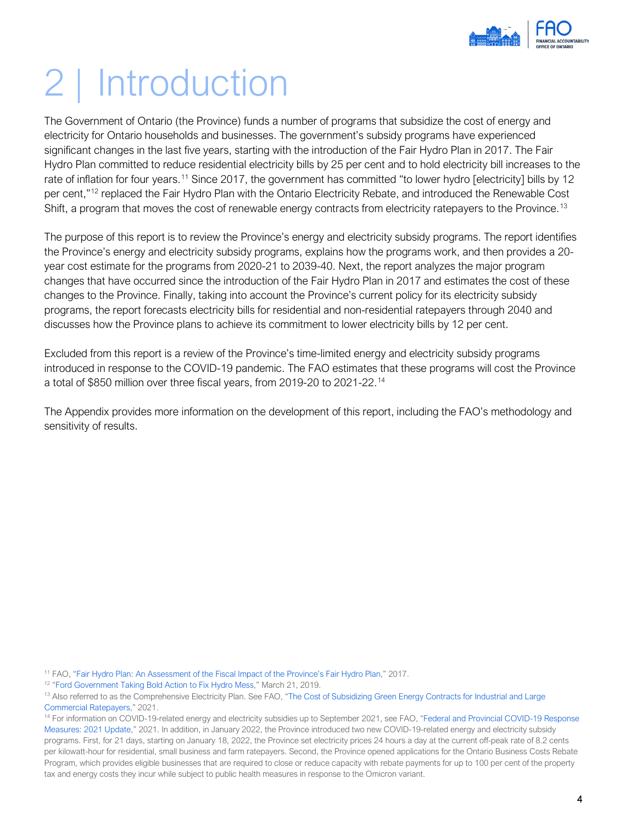

## <span id="page-6-0"></span>2 | Introduction

The Government of Ontario (the Province) funds a number of programs that subsidize the cost of energy and electricity for Ontario households and businesses. The government's subsidy programs have experienced significant changes in the last five years, starting with the introduction of the Fair Hydro Plan in 2017. The Fair Hydro Plan committed to reduce residential electricity bills by 25 per cent and to hold electricity bill increases to the rate of inflation for four years.<sup>[11](#page-6-1)</sup> Since 2017, the government has committed "to lower hydro [electricity] bills by 12 per cent,"<sup>12</sup> replaced the Fair Hydro Plan with the Ontario Electricity Rebate, and introduced the Renewable Cost Shift, a program that moves the cost of renewable energy contracts from electricity ratepayers to the Province.<sup>[13](#page-6-3)</sup>

The purpose of this report is to review the Province's energy and electricity subsidy programs. The report identifies the Province's energy and electricity subsidy programs, explains how the programs work, and then provides a 20 year cost estimate for the programs from 2020-21 to 2039-40. Next, the report analyzes the major program changes that have occurred since the introduction of the Fair Hydro Plan in 2017 and estimates the cost of these changes to the Province. Finally, taking into account the Province's current policy for its electricity subsidy programs, the report forecasts electricity bills for residential and non-residential ratepayers through 2040 and discusses how the Province plans to achieve its commitment to lower electricity bills by 12 per cent.

Excluded from this report is a review of the Province's time-limited energy and electricity subsidy programs introduced in response to the COVID-19 pandemic. The FAO estimates that these programs will cost the Province a total of \$850 million over three fiscal years, from 2019-20 to 2021-22.[14](#page-6-4)

The Appendix provides more information on the development of this report, including the FAO's methodology and sensitivity of results.

<span id="page-6-1"></span><sup>11</sup> FAO, ["Fair Hydro Plan: An Assessment of the Fiscal Impact of the Province's Fair Hydro Plan,](https://www.fao-on.org/en/Blog/Publications/Fair_hydro)" 2017.

<span id="page-6-2"></span><sup>12</sup> ["Ford Government Taking Bold Action to Fix Hydro Mess,](https://news.ontario.ca/en/release/51635/ford-government-taking-bold-action-to-fix-hydro-mess)" March 21, 2019.

<span id="page-6-3"></span><sup>13</sup> Also referred to as the Comprehensive Electricity Plan. See FAO, "The Cost of Subsidizing Green Energy Contracts for Industrial and Large [Commercial Ratepayers,](https://www.fao-on.org/en/Blog/Publications/2021-commercial-industrial-electricity)" 2021.

<span id="page-6-4"></span><sup>14</sup> For information on COVID-19-related energy and electricity subsidies up to September 2021, see FAO, "Federal and Provincial COVID-19 Response [Measures: 2021 Update,](https://fao-on.org/en/Blog/Publications/fed-prov-response-2021)" 2021. In addition, in January 2022, the Province introduced two new COVID-19-related energy and electricity subsidy programs. First, for 21 days, starting on January 18, 2022, the Province set electricity prices 24 hours a day at the current off-peak rate of 8.2 cents per kilowatt-hour for residential, small business and farm ratepayers. Second, the Province opened applications for the Ontario Business Costs Rebate Program, which provides eligible businesses that are required to close or reduce capacity with rebate payments for up to 100 per cent of the property tax and energy costs they incur while subject to public health measures in response to the Omicron variant.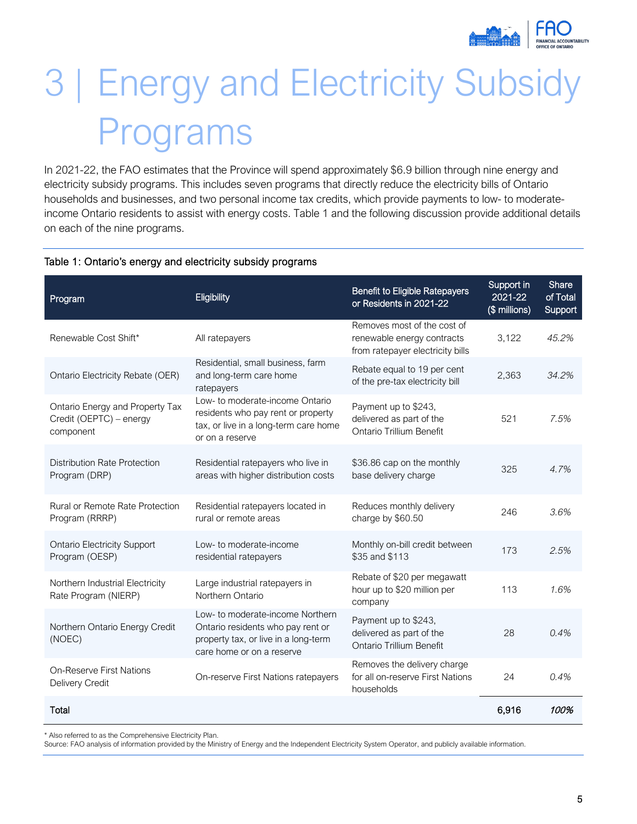

## <span id="page-7-0"></span>3 | Energy and Electricity Subsidy Programs

In 2021-22, the FAO estimates that the Province will spend approximately \$6.9 billion through nine energy and electricity subsidy programs. This includes seven programs that directly reduce the electricity bills of Ontario households and businesses, and two personal income tax credits, which provide payments to low- to moderateincome Ontario residents to assist with energy costs. Table 1 and the following discussion provide additional details on each of the nine programs.

| Program                                                                 | Eligibility                                                                                                                                | <b>Benefit to Eligible Ratepayers</b><br>or Residents in 2021-22                              | Support in<br>2021-22<br>(\$ millions) | Share<br>of Total<br>Support |
|-------------------------------------------------------------------------|--------------------------------------------------------------------------------------------------------------------------------------------|-----------------------------------------------------------------------------------------------|----------------------------------------|------------------------------|
| Renewable Cost Shift*                                                   | All ratepayers                                                                                                                             | Removes most of the cost of<br>renewable energy contracts<br>from ratepayer electricity bills | 3,122                                  | 45.2%                        |
| Ontario Electricity Rebate (OER)                                        | Residential, small business, farm<br>and long-term care home<br>ratepayers                                                                 | Rebate equal to 19 per cent<br>of the pre-tax electricity bill                                | 2,363                                  | 34.2%                        |
| Ontario Energy and Property Tax<br>Credit (OEPTC) - energy<br>component | Low- to moderate-income Ontario<br>residents who pay rent or property<br>tax, or live in a long-term care home<br>or on a reserve          | Payment up to \$243,<br>delivered as part of the<br>Ontario Trillium Benefit                  | 521                                    | 7.5%                         |
| Distribution Rate Protection<br>Program (DRP)                           | Residential ratepayers who live in<br>areas with higher distribution costs                                                                 | \$36.86 cap on the monthly<br>base delivery charge                                            | 325                                    | 4.7%                         |
| <b>Rural or Remote Rate Protection</b><br>Program (RRRP)                | Residential ratepayers located in<br>rural or remote areas                                                                                 | Reduces monthly delivery<br>charge by \$60.50                                                 | 246                                    | 3.6%                         |
| <b>Ontario Electricity Support</b><br>Program (OESP)                    | Low- to moderate-income<br>residential ratepayers                                                                                          | Monthly on-bill credit between<br>\$35 and \$113                                              | 173                                    | 2.5%                         |
| Northern Industrial Electricity<br>Rate Program (NIERP)                 | Large industrial ratepayers in<br>Northern Ontario                                                                                         | Rebate of \$20 per megawatt<br>hour up to \$20 million per<br>company                         | 113                                    | 1.6%                         |
| Northern Ontario Energy Credit<br>(NOEC)                                | Low- to moderate-income Northern<br>Ontario residents who pay rent or<br>property tax, or live in a long-term<br>care home or on a reserve | Payment up to \$243,<br>delivered as part of the<br><b>Ontario Trillium Benefit</b>           | 28                                     | 0.4%                         |
| <b>On-Reserve First Nations</b><br>Delivery Credit                      | On-reserve First Nations ratepayers                                                                                                        | Removes the delivery charge<br>for all on-reserve First Nations<br>households                 | 24                                     | 0.4%                         |
| Total                                                                   |                                                                                                                                            |                                                                                               | 6,916                                  | 100%                         |

#### Table 1: Ontario's energy and electricity subsidy programs

\* Also referred to as the Comprehensive Electricity Plan.

Source: FAO analysis of information provided by the Ministry of Energy and the Independent Electricity System Operator, and publicly available information.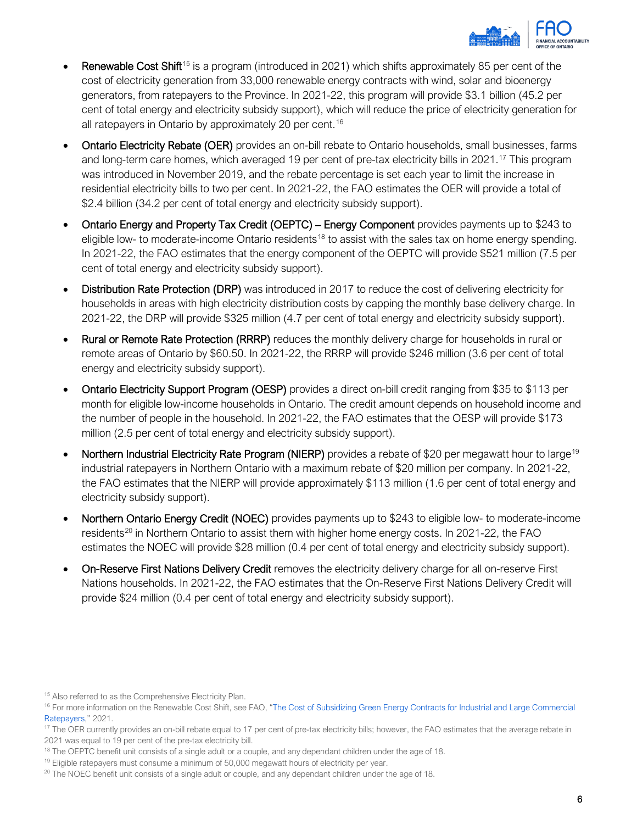

- **Renewable Cost Shift**<sup>[15](#page-8-0)</sup> is a program (introduced in 2021) which shifts approximately 85 per cent of the cost of electricity generation from 33,000 renewable energy contracts with wind, solar and bioenergy generators, from ratepayers to the Province. In 2021-22, this program will provide \$3.1 billion (45.2 per cent of total energy and electricity subsidy support), which will reduce the price of electricity generation for all ratepayers in Ontario by approximately 20 per cent.<sup>[16](#page-8-1)</sup>
- Ontario Electricity Rebate (OER) provides an on-bill rebate to Ontario households, small businesses, farms and long-term care homes, which averaged 19 per cent of pre-tax electricity bills in 2021. [17](#page-8-2) This program was introduced in November 2019, and the rebate percentage is set each year to limit the increase in residential electricity bills to two per cent. In 2021-22, the FAO estimates the OER will provide a total of \$2.4 billion (34.2 per cent of total energy and electricity subsidy support).
- Ontario Energy and Property Tax Credit (OEPTC) Energy Component provides payments up to \$243 to eligible low- to moderate-income Ontario residents<sup>[18](#page-8-3)</sup> to assist with the sales tax on home energy spending. In 2021-22, the FAO estimates that the energy component of the OEPTC will provide \$521 million (7.5 per cent of total energy and electricity subsidy support).
- Distribution Rate Protection (DRP) was introduced in 2017 to reduce the cost of delivering electricity for households in areas with high electricity distribution costs by capping the monthly base delivery charge. In 2021-22, the DRP will provide \$325 million (4.7 per cent of total energy and electricity subsidy support).
- Rural or Remote Rate Protection (RRRP) reduces the monthly delivery charge for households in rural or remote areas of Ontario by \$60.50. In 2021-22, the RRRP will provide \$246 million (3.6 per cent of total energy and electricity subsidy support).
- Ontario Electricity Support Program (OESP) provides a direct on-bill credit ranging from \$35 to \$113 per month for eligible low-income households in Ontario. The credit amount depends on household income and the number of people in the household. In 2021-22, the FAO estimates that the OESP will provide \$173 million (2.5 per cent of total energy and electricity subsidy support).
- Northern Industrial Electricity Rate Program (NIERP) provides a rebate of \$20 per megawatt hour to large<sup>[19](#page-8-4)</sup> industrial ratepayers in Northern Ontario with a maximum rebate of \$20 million per company. In 2021-22, the FAO estimates that the NIERP will provide approximately \$113 million (1.6 per cent of total energy and electricity subsidy support).
- Northern Ontario Energy Credit (NOEC) provides payments up to \$243 to eligible low- to moderate-income residents<sup>[20](#page-8-5)</sup> in Northern Ontario to assist them with higher home energy costs. In 2021-22, the FAO estimates the NOEC will provide \$28 million (0.4 per cent of total energy and electricity subsidy support).
- On-Reserve First Nations Delivery Credit removes the electricity delivery charge for all on-reserve First Nations households. In 2021-22, the FAO estimates that the On-Reserve First Nations Delivery Credit will provide \$24 million (0.4 per cent of total energy and electricity subsidy support).

<span id="page-8-1"></span><span id="page-8-0"></span><sup>&</sup>lt;sup>15</sup> Also referred to as the Comprehensive Electricity Plan.<br><sup>16</sup> For more information on the Renewable Cost Shift, see FAO, "The Cost of Subsidizing Green Energy Contracts for Industrial and Large Commercial [Ratepayers,"](https://www.fao-on.org/en/Blog/Publications/2021-commercial-industrial-electricity) 2021.<br><sup>17</sup> The OER currently provides an on-bill rebate equal to 17 per cent of pre-tax electricity bills; however, the FAO estimates that the average rebate in

<span id="page-8-2"></span><sup>2021</sup> was equal to 19 per cent of the pre-tax electricity bill.

<span id="page-8-3"></span><sup>&</sup>lt;sup>18</sup> The OEPTC benefit unit consists of a single adult or a couple, and any dependant children under the age of 18.

<span id="page-8-5"></span><span id="page-8-4"></span><sup>&</sup>lt;sup>19</sup> Eligible ratepayers must consume a minimum of 50,000 megawatt hours of electricity per year.<br><sup>20</sup> The NOEC benefit unit consists of a single adult or couple, and any dependant children under the age of 18.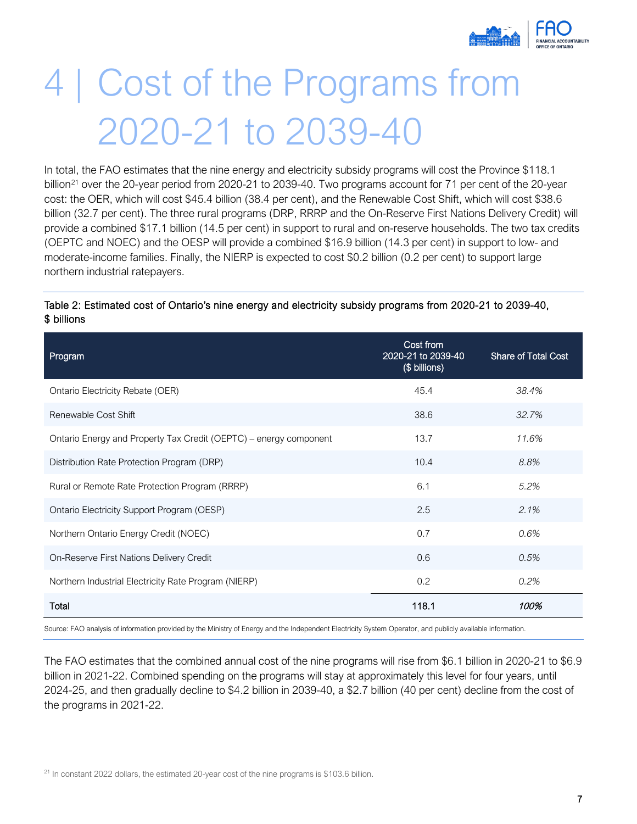

## <span id="page-9-0"></span>4 | Cost of the Programs from 2020-21 to 2039-40

In total, the FAO estimates that the nine energy and electricity subsidy programs will cost the Province \$118.1 billion<sup>[21](#page-9-1)</sup> over the 20-year period from 2020-21 to 2039-40. Two programs account for 71 per cent of the 20-year cost: the OER, which will cost \$45.4 billion (38.4 per cent), and the Renewable Cost Shift, which will cost \$38.6 billion (32.7 per cent). The three rural programs (DRP, RRRP and the On-Reserve First Nations Delivery Credit) will provide a combined \$17.1 billion (14.5 per cent) in support to rural and on-reserve households. The two tax credits (OEPTC and NOEC) and the OESP will provide a combined \$16.9 billion (14.3 per cent) in support to low- and moderate-income families. Finally, the NIERP is expected to cost \$0.2 billion (0.2 per cent) to support large northern industrial ratepayers.

#### Table 2: Estimated cost of Ontario's nine energy and electricity subsidy programs from 2020-21 to 2039-40, \$ billions

| Program                                                           | Cost from<br>2020-21 to 2039-40<br>(\$ billions) | <b>Share of Total Cost</b> |
|-------------------------------------------------------------------|--------------------------------------------------|----------------------------|
| Ontario Electricity Rebate (OER)                                  | 45.4                                             | 38.4%                      |
| Renewable Cost Shift                                              | 38.6                                             | 32.7%                      |
| Ontario Energy and Property Tax Credit (OEPTC) – energy component | 13.7                                             | 11.6%                      |
| Distribution Rate Protection Program (DRP)                        | 10.4                                             | 8.8%                       |
| Rural or Remote Rate Protection Program (RRRP)                    | 6.1                                              | 5.2%                       |
| Ontario Electricity Support Program (OESP)                        | 2.5                                              | $2.1\%$                    |
| Northern Ontario Energy Credit (NOEC)                             | 0.7                                              | 0.6%                       |
| On-Reserve First Nations Delivery Credit                          | 0.6                                              | 0.5%                       |
| Northern Industrial Electricity Rate Program (NIERP)              | 0.2                                              | 0.2%                       |
| Total                                                             | 118.1                                            | 100%                       |

Source: FAO analysis of information provided by the Ministry of Energy and the Independent Electricity System Operator, and publicly available information.

The FAO estimates that the combined annual cost of the nine programs will rise from \$6.1 billion in 2020-21 to \$6.9 billion in 2021-22. Combined spending on the programs will stay at approximately this level for four years, until 2024-25, and then gradually decline to \$4.2 billion in 2039-40, a \$2.7 billion (40 per cent) decline from the cost of the programs in 2021-22.

<span id="page-9-1"></span> $21$  In constant 2022 dollars, the estimated 20-year cost of the nine programs is \$103.6 billion.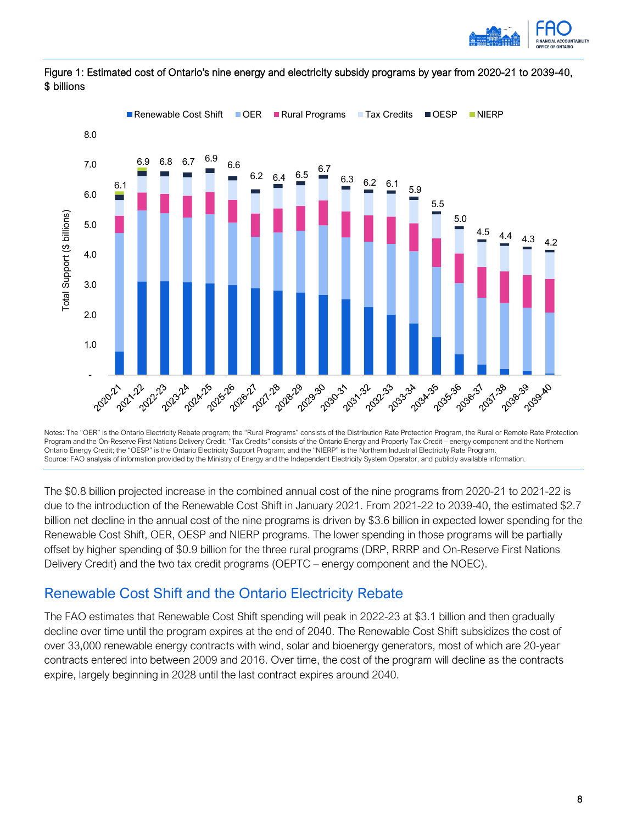



#### Figure 1: Estimated cost of Ontario's nine energy and electricity subsidy programs by year from 2020-21 to 2039-40, \$ billions

Notes: The "OER" is the Ontario Electricity Rebate program; the "Rural Programs" consists of the Distribution Rate Protection Program, the Rural or Remote Rate Protection Program and the On-Reserve First Nations Delivery Credit; "Tax Credits" consists of the Ontario Energy and Property Tax Credit – energy component and the Northern Ontario Energy Credit; the "OESP" is the Ontario Electricity Support Program; and the "NIERP" is the Northern Industrial Electricity Rate Program. Source: FAO analysis of information provided by the Ministry of Energy and the Independent Electricity System Operator, and publicly available information.

The \$0.8 billion projected increase in the combined annual cost of the nine programs from 2020-21 to 2021-22 is due to the introduction of the Renewable Cost Shift in January 2021. From 2021-22 to 2039-40, the estimated \$2.7 billion net decline in the annual cost of the nine programs is driven by \$3.6 billion in expected lower spending for the Renewable Cost Shift, OER, OESP and NIERP programs. The lower spending in those programs will be partially offset by higher spending of \$0.9 billion for the three rural programs (DRP, RRRP and On-Reserve First Nations Delivery Credit) and the two tax credit programs (OEPTC – energy component and the NOEC).

### <span id="page-10-0"></span>Renewable Cost Shift and the Ontario Electricity Rebate

The FAO estimates that Renewable Cost Shift spending will peak in 2022-23 at \$3.1 billion and then gradually decline over time until the program expires at the end of 2040. The Renewable Cost Shift subsidizes the cost of over 33,000 renewable energy contracts with wind, solar and bioenergy generators, most of which are 20-year contracts entered into between 2009 and 2016. Over time, the cost of the program will decline as the contracts expire, largely beginning in 2028 until the last contract expires around 2040.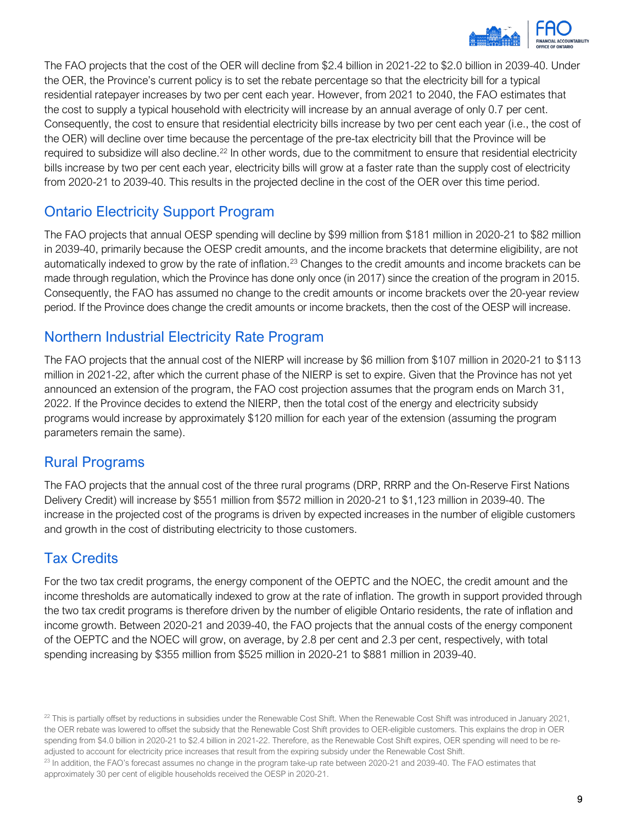

The FAO projects that the cost of the OER will decline from \$2.4 billion in 2021-22 to \$2.0 billion in 2039-40. Under the OER, the Province's current policy is to set the rebate percentage so that the electricity bill for a typical residential ratepayer increases by two per cent each year. However, from 2021 to 2040, the FAO estimates that the cost to supply a typical household with electricity will increase by an annual average of only 0.7 per cent. Consequently, the cost to ensure that residential electricity bills increase by two per cent each year (i.e., the cost of the OER) will decline over time because the percentage of the pre-tax electricity bill that the Province will be required to subsidize will also decline.<sup>[22](#page-11-4)</sup> In other words, due to the commitment to ensure that residential electricity bills increase by two per cent each year, electricity bills will grow at a faster rate than the supply cost of electricity from 2020-21 to 2039-40. This results in the projected decline in the cost of the OER over this time period.

### <span id="page-11-0"></span>Ontario Electricity Support Program

The FAO projects that annual OESP spending will decline by \$99 million from \$181 million in 2020-21 to \$82 million in 2039-40, primarily because the OESP credit amounts, and the income brackets that determine eligibility, are not automatically indexed to grow by the rate of inflation.<sup>[23](#page-11-5)</sup> Changes to the credit amounts and income brackets can be made through regulation, which the Province has done only once (in 2017) since the creation of the program in 2015. Consequently, the FAO has assumed no change to the credit amounts or income brackets over the 20-year review period. If the Province does change the credit amounts or income brackets, then the cost of the OESP will increase.

### <span id="page-11-1"></span>Northern Industrial Electricity Rate Program

The FAO projects that the annual cost of the NIERP will increase by \$6 million from \$107 million in 2020-21 to \$113 million in 2021-22, after which the current phase of the NIERP is set to expire. Given that the Province has not yet announced an extension of the program, the FAO cost projection assumes that the program ends on March 31, 2022. If the Province decides to extend the NIERP, then the total cost of the energy and electricity subsidy programs would increase by approximately \$120 million for each year of the extension (assuming the program parameters remain the same).

### <span id="page-11-2"></span>Rural Programs

The FAO projects that the annual cost of the three rural programs (DRP, RRRP and the On-Reserve First Nations Delivery Credit) will increase by \$551 million from \$572 million in 2020-21 to \$1,123 million in 2039-40. The increase in the projected cost of the programs is driven by expected increases in the number of eligible customers and growth in the cost of distributing electricity to those customers.

### <span id="page-11-3"></span>Tax Credits

For the two tax credit programs, the energy component of the OEPTC and the NOEC, the credit amount and the income thresholds are automatically indexed to grow at the rate of inflation. The growth in support provided through the two tax credit programs is therefore driven by the number of eligible Ontario residents, the rate of inflation and income growth. Between 2020-21 and 2039-40, the FAO projects that the annual costs of the energy component of the OEPTC and the NOEC will grow, on average, by 2.8 per cent and 2.3 per cent, respectively, with total spending increasing by \$355 million from \$525 million in 2020-21 to \$881 million in 2039-40.

<span id="page-11-4"></span> $^{22}$  This is partially offset by reductions in subsidies under the Renewable Cost Shift. When the Renewable Cost Shift was introduced in January 2021, the OER rebate was lowered to offset the subsidy that the Renewable Cost Shift provides to OER-eligible customers. This explains the drop in OER spending from \$4.0 billion in 2020-21 to \$2.4 billion in 2021-22. Therefore, as the Renewable Cost Shift expires, OER spending will need to be readjusted to account for electricity price increases that result from the expiring subsidy under the Renewable Cost Shift.

<span id="page-11-5"></span><sup>&</sup>lt;sup>23</sup> In addition, the FAO's forecast assumes no change in the program take-up rate between 2020-21 and 2039-40. The FAO estimates that approximately 30 per cent of eligible households received the OESP in 2020-21.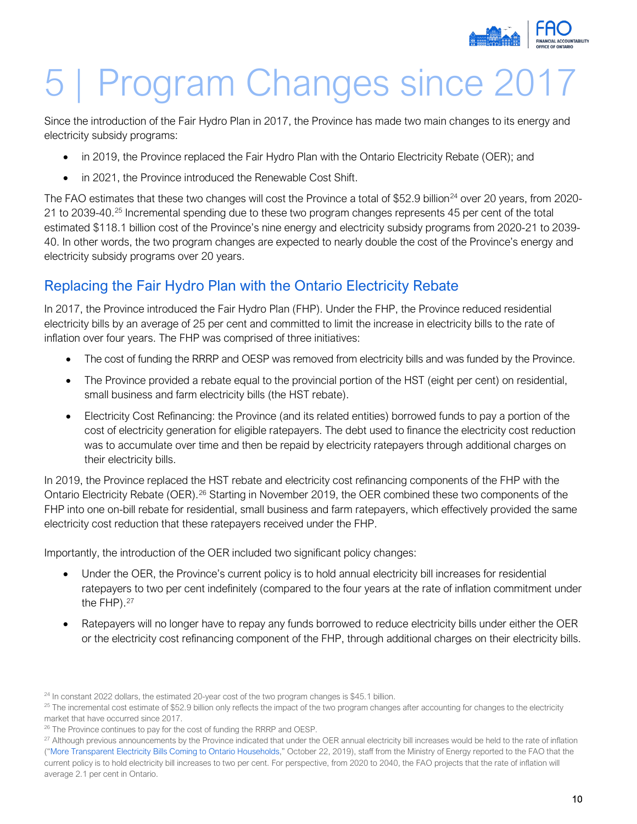

## <span id="page-12-0"></span>5 | Program Changes since 2017

Since the introduction of the Fair Hydro Plan in 2017, the Province has made two main changes to its energy and electricity subsidy programs:

- in 2019, the Province replaced the Fair Hydro Plan with the Ontario Electricity Rebate (OER); and
- in 2021, the Province introduced the Renewable Cost Shift.

The FAO estimates that these two changes will cost the Province a total of \$52.9 billion<sup>[24](#page-12-2)</sup> over 20 years, from 2020-21 to 2039-40.<sup>25</sup> Incremental spending due to these two program changes represents 45 per cent of the total estimated \$118.1 billion cost of the Province's nine energy and electricity subsidy programs from 2020-21 to 2039- 40. In other words, the two program changes are expected to nearly double the cost of the Province's energy and electricity subsidy programs over 20 years.

## <span id="page-12-1"></span>Replacing the Fair Hydro Plan with the Ontario Electricity Rebate

In 2017, the Province introduced the Fair Hydro Plan (FHP). Under the FHP, the Province reduced residential electricity bills by an average of 25 per cent and committed to limit the increase in electricity bills to the rate of inflation over four years. The FHP was comprised of three initiatives:

- The cost of funding the RRRP and OESP was removed from electricity bills and was funded by the Province.
- The Province provided a rebate equal to the provincial portion of the HST (eight per cent) on residential, small business and farm electricity bills (the HST rebate).
- Electricity Cost Refinancing: the Province (and its related entities) borrowed funds to pay a portion of the cost of electricity generation for eligible ratepayers. The debt used to finance the electricity cost reduction was to accumulate over time and then be repaid by electricity ratepayers through additional charges on their electricity bills.

In 2019, the Province replaced the HST rebate and electricity cost refinancing components of the FHP with the Ontario Electricity Rebate (OER).[26](#page-12-4) Starting in November 2019, the OER combined these two components of the FHP into one on-bill rebate for residential, small business and farm ratepayers, which effectively provided the same electricity cost reduction that these ratepayers received under the FHP.

Importantly, the introduction of the OER included two significant policy changes:

- Under the OER, the Province's current policy is to hold annual electricity bill increases for residential ratepayers to two per cent indefinitely (compared to the four years at the rate of inflation commitment under the FHP). $27$
- Ratepayers will no longer have to repay any funds borrowed to reduce electricity bills under either the OER or the electricity cost refinancing component of the FHP, through additional charges on their electricity bills.

<span id="page-12-2"></span><sup>&</sup>lt;sup>24</sup> In constant 2022 dollars, the estimated 20-year cost of the two program changes is \$45.1 billion.

<span id="page-12-3"></span> $25$  The incremental cost estimate of \$52.9 billion only reflects the impact of the two program changes after accounting for changes to the electricity market that have occurred since 2017.

<span id="page-12-4"></span><sup>&</sup>lt;sup>26</sup> The Province continues to pay for the cost of funding the RRRP and OESP.

<span id="page-12-5"></span><sup>&</sup>lt;sup>27</sup> Although previous announcements by the Province indicated that under the OER annual electricity bill increases would be held to the rate of inflation (["More Transparent Electricity Bills Coming to Ontario Households,"](https://news.ontario.ca/en/release/54250/more-transparent-electricity-bills-coming-to-ontario-households) October 22, 2019), staff from the Ministry of Energy reported to the FAO that the current policy is to hold electricity bill increases to two per cent. For perspective, from 2020 to 2040, the FAO projects that the rate of inflation will average 2.1 per cent in Ontario.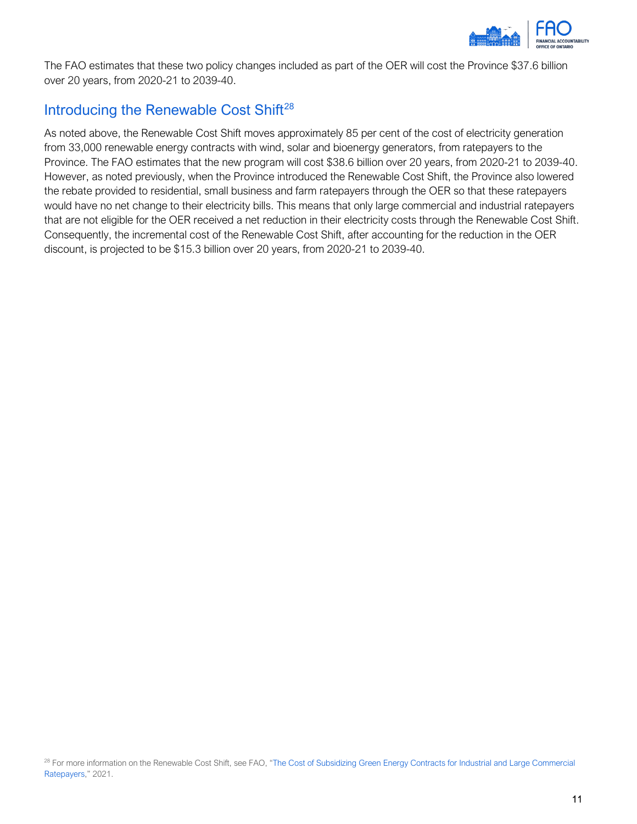

The FAO estimates that these two policy changes included as part of the OER will cost the Province \$37.6 billion over 20 years, from 2020-21 to 2039-40.

## <span id="page-13-0"></span>Introducing the Renewable Cost Shift<sup>[28](#page-13-1)</sup>

<span id="page-13-1"></span>As noted above, the Renewable Cost Shift moves approximately 85 per cent of the cost of electricity generation from 33,000 renewable energy contracts with wind, solar and bioenergy generators, from ratepayers to the Province. The FAO estimates that the new program will cost \$38.6 billion over 20 years, from 2020-21 to 2039-40. However, as noted previously, when the Province introduced the Renewable Cost Shift, the Province also lowered the rebate provided to residential, small business and farm ratepayers through the OER so that these ratepayers would have no net change to their electricity bills. This means that only large commercial and industrial ratepayers that are not eligible for the OER received a net reduction in their electricity costs through the Renewable Cost Shift. Consequently, the incremental cost of the Renewable Cost Shift, after accounting for the reduction in the OER discount, is projected to be \$15.3 billion over 20 years, from 2020-21 to 2039-40.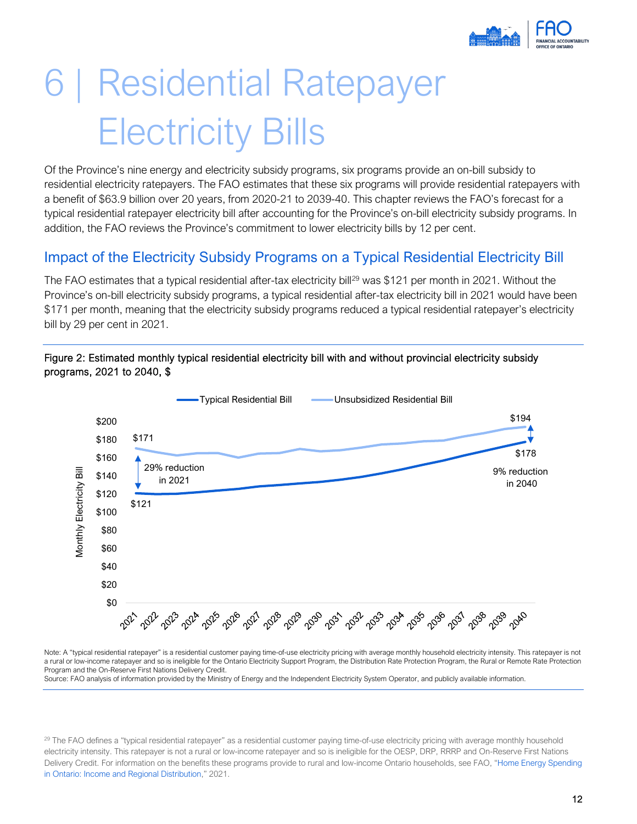

## <span id="page-14-0"></span>6 | Residential Ratepayer Electricity Bills

Of the Province's nine energy and electricity subsidy programs, six programs provide an on-bill subsidy to residential electricity ratepayers. The FAO estimates that these six programs will provide residential ratepayers with a benefit of \$63.9 billion over 20 years, from 2020-21 to 2039-40. This chapter reviews the FAO's forecast for a typical residential ratepayer electricity bill after accounting for the Province's on-bill electricity subsidy programs. In addition, the FAO reviews the Province's commitment to lower electricity bills by 12 per cent.

### <span id="page-14-1"></span>Impact of the Electricity Subsidy Programs on a Typical Residential Electricity Bill

The FAO estimates that a typical residential after-tax electricity bill<sup>29</sup> was \$121 per month in 2021. Without the Province's on-bill electricity subsidy programs, a typical residential after-tax electricity bill in 2021 would have been \$171 per month, meaning that the electricity subsidy programs reduced a typical residential ratepayer's electricity bill by 29 per cent in 2021.



#### Figure 2: Estimated monthly typical residential electricity bill with and without provincial electricity subsidy programs, 2021 to 2040, \$

Note: A "typical residential ratepayer" is a residential customer paying time-of-use electricity pricing with average monthly household electricity intensity. This ratepayer is not a rural or low-income ratepayer and so is ineligible for the Ontario Electricity Support Program, the Distribution Rate Protection Program, the Rural or Remote Rate Protection Program and the On-Reserve First Nations Delivery Credit.

Source: FAO analysis of information provided by the Ministry of Energy and the Independent Electricity System Operator, and publicly available information.

<span id="page-14-2"></span><sup>29</sup> The FAO defines a "typical residential ratepayer" as a residential customer paying time-of-use electricity pricing with average monthly household electricity intensity. This ratepayer is not a rural or low-income ratepayer and so is ineligible for the OESP, DRP, RRRP and On-Reserve First Nations Delivery Credit. For information on the benefits these programs provide to rural and low-income Ontario households, see FAO, ["Home Energy Spending](https://www.fao-on.org/en/Blog/Publications/home-energy-2021)  [in Ontario: Income and Regional Distribution,"](https://www.fao-on.org/en/Blog/Publications/home-energy-2021) 2021.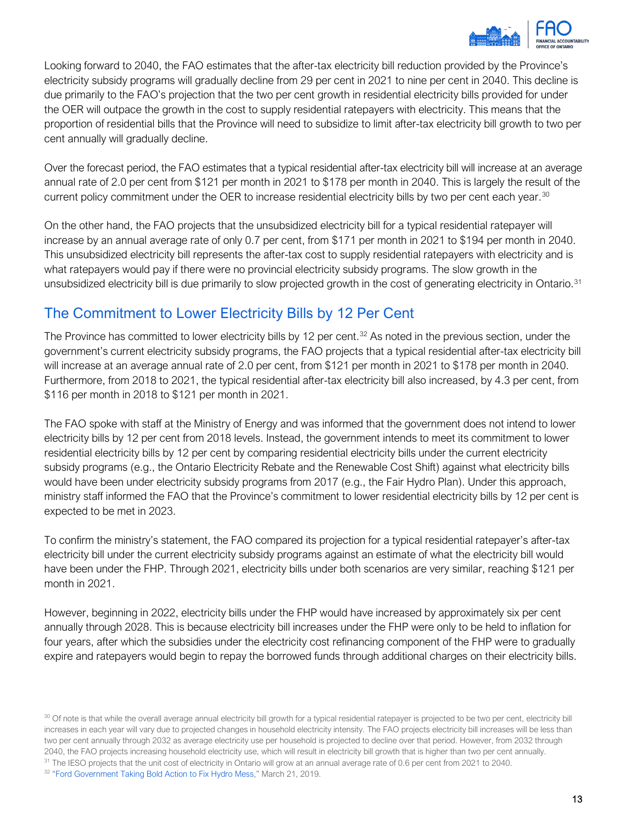

Looking forward to 2040, the FAO estimates that the after-tax electricity bill reduction provided by the Province's electricity subsidy programs will gradually decline from 29 per cent in 2021 to nine per cent in 2040. This decline is due primarily to the FAO's projection that the two per cent growth in residential electricity bills provided for under the OER will outpace the growth in the cost to supply residential ratepayers with electricity. This means that the proportion of residential bills that the Province will need to subsidize to limit after-tax electricity bill growth to two per cent annually will gradually decline.

Over the forecast period, the FAO estimates that a typical residential after-tax electricity bill will increase at an average annual rate of 2.0 per cent from \$121 per month in 2021 to \$178 per month in 2040. This is largely the result of the current policy commitment under the OER to increase residential electricity bills by two per cent each year.<sup>[30](#page-15-1)</sup>

On the other hand, the FAO projects that the unsubsidized electricity bill for a typical residential ratepayer will increase by an annual average rate of only 0.7 per cent, from \$171 per month in 2021 to \$194 per month in 2040. This unsubsidized electricity bill represents the after-tax cost to supply residential ratepayers with electricity and is what ratepayers would pay if there were no provincial electricity subsidy programs. The slow growth in the unsubsidized electricity bill is due primarily to slow projected growth in the cost of generating electricity in Ontario.<sup>[31](#page-15-2)</sup>

## <span id="page-15-0"></span>The Commitment to Lower Electricity Bills by 12 Per Cent

The Province has committed to lower electricity bills by 12 per cent.<sup>[32](#page-15-3)</sup> As noted in the previous section, under the government's current electricity subsidy programs, the FAO projects that a typical residential after-tax electricity bill will increase at an average annual rate of 2.0 per cent, from \$121 per month in 2021 to \$178 per month in 2040. Furthermore, from 2018 to 2021, the typical residential after-tax electricity bill also increased, by 4.3 per cent, from \$116 per month in 2018 to \$121 per month in 2021.

The FAO spoke with staff at the Ministry of Energy and was informed that the government does not intend to lower electricity bills by 12 per cent from 2018 levels. Instead, the government intends to meet its commitment to lower residential electricity bills by 12 per cent by comparing residential electricity bills under the current electricity subsidy programs (e.g., the Ontario Electricity Rebate and the Renewable Cost Shift) against what electricity bills would have been under electricity subsidy programs from 2017 (e.g., the Fair Hydro Plan). Under this approach, ministry staff informed the FAO that the Province's commitment to lower residential electricity bills by 12 per cent is expected to be met in 2023.

To confirm the ministry's statement, the FAO compared its projection for a typical residential ratepayer's after-tax electricity bill under the current electricity subsidy programs against an estimate of what the electricity bill would have been under the FHP. Through 2021, electricity bills under both scenarios are very similar, reaching \$121 per month in 2021.

However, beginning in 2022, electricity bills under the FHP would have increased by approximately six per cent annually through 2028. This is because electricity bill increases under the FHP were only to be held to inflation for four years, after which the subsidies under the electricity cost refinancing component of the FHP were to gradually expire and ratepayers would begin to repay the borrowed funds through additional charges on their electricity bills.

<span id="page-15-3"></span><span id="page-15-2"></span><span id="page-15-1"></span><sup>30</sup> Of note is that while the overall average annual electricity bill growth for a typical residential ratepayer is projected to be two per cent, electricity bill increases in each year will vary due to projected changes in household electricity intensity. The FAO projects electricity bill increases will be less than two per cent annually through 2032 as average electricity use per household is projected to decline over that period. However, from 2032 through 2040, the FAO projects increasing household electricity use, which will result in electricity bill growth that is higher than two per cent annually. <sup>31</sup> The IESO projects that the unit cost of electricity in Ontario will grow at an annual average rate of 0.6 per cent from 2021 to 2040. <sup>32</sup> ["Ford Government Taking Bold Action to Fix Hydro Mess,](https://news.ontario.ca/en/release/51635/ford-government-taking-bold-action-to-fix-hydro-mess)" March 21, 2019.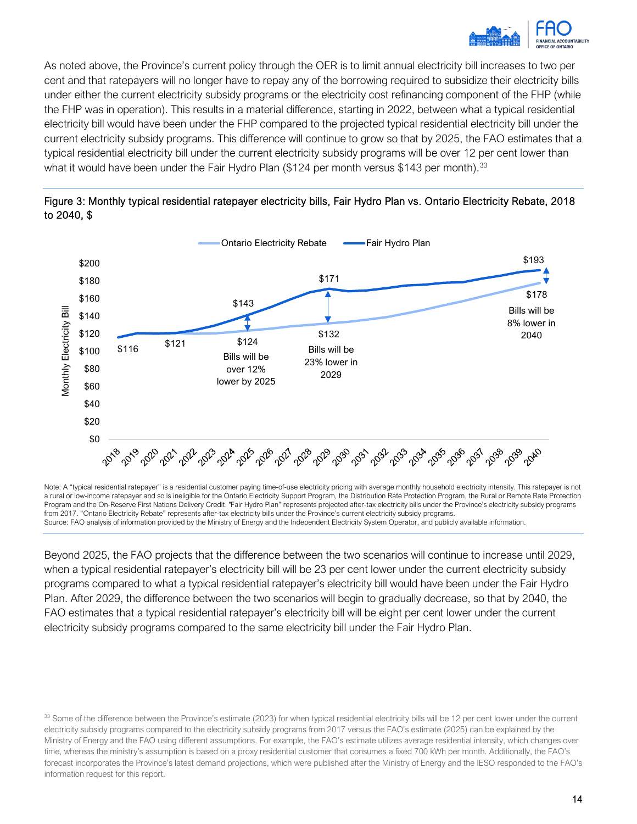

As noted above, the Province's current policy through the OER is to limit annual electricity bill increases to two per cent and that ratepayers will no longer have to repay any of the borrowing required to subsidize their electricity bills under either the current electricity subsidy programs or the electricity cost refinancing component of the FHP (while the FHP was in operation). This results in a material difference, starting in 2022, between what a typical residential electricity bill would have been under the FHP compared to the projected typical residential electricity bill under the current electricity subsidy programs. This difference will continue to grow so that by 2025, the FAO estimates that a typical residential electricity bill under the current electricity subsidy programs will be over 12 per cent lower than what it would have been under the Fair Hydro Plan (\$124 per month versus \$143 per month).<sup>33</sup>





Note: A "typical residential ratepayer" is a residential customer paying time-of-use electricity pricing with average monthly household electricity intensity. This ratepayer is not a rural or low-income ratepayer and so is ineligible for the Ontario Electricity Support Program, the Distribution Rate Protection Program, the Rural or Remote Rate Protection Program and the On-Reserve First Nations Delivery Credit. "Fair Hydro Plan" represents projected after-tax electricity bills under the Province's electricity subsidy programs from 2017. "Ontario Electricity Rebate" represents after-tax electricity bills under the Province's current electricity subsidy programs. Source: FAO analysis of information provided by the Ministry of Energy and the Independent Electricity System Operator, and publicly available information.

Beyond 2025, the FAO projects that the difference between the two scenarios will continue to increase until 2029, when a typical residential ratepayer's electricity bill will be 23 per cent lower under the current electricity subsidy programs compared to what a typical residential ratepayer's electricity bill would have been under the Fair Hydro Plan. After 2029, the difference between the two scenarios will begin to gradually decrease, so that by 2040, the FAO estimates that a typical residential ratepayer's electricity bill will be eight per cent lower under the current electricity subsidy programs compared to the same electricity bill under the Fair Hydro Plan.

<span id="page-16-0"></span><sup>&</sup>lt;sup>33</sup> Some of the difference between the Province's estimate (2023) for when typical residential electricity bills will be 12 per cent lower under the current electricity subsidy programs compared to the electricity subsidy programs from 2017 versus the FAO's estimate (2025) can be explained by the Ministry of Energy and the FAO using different assumptions. For example, the FAO's estimate utilizes average residential intensity, which changes over time, whereas the ministry's assumption is based on a proxy residential customer that consumes a fixed 700 kWh per month. Additionally, the FAO's forecast incorporates the Province's latest demand projections, which were published after the Ministry of Energy and the IESO responded to the FAO's information request for this report.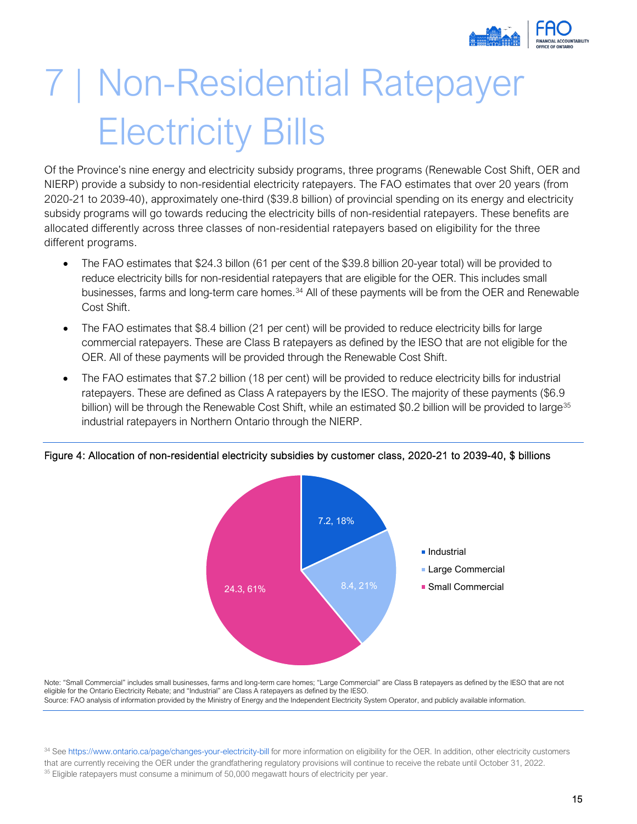

## <span id="page-17-0"></span>7 | Non-Residential Ratepayer Electricity Bills

Of the Province's nine energy and electricity subsidy programs, three programs (Renewable Cost Shift, OER and NIERP) provide a subsidy to non-residential electricity ratepayers. The FAO estimates that over 20 years (from 2020-21 to 2039-40), approximately one-third (\$39.8 billion) of provincial spending on its energy and electricity subsidy programs will go towards reducing the electricity bills of non-residential ratepayers. These benefits are allocated differently across three classes of non-residential ratepayers based on eligibility for the three different programs.

- The FAO estimates that \$24.3 billon (61 per cent of the \$39.8 billion 20-year total) will be provided to reduce electricity bills for non-residential ratepayers that are eligible for the OER. This includes small businesses, farms and long-term care homes.<sup>[34](#page-17-1)</sup> All of these payments will be from the OER and Renewable Cost Shift.
- The FAO estimates that \$8.4 billion (21 per cent) will be provided to reduce electricity bills for large commercial ratepayers. These are Class B ratepayers as defined by the IESO that are not eligible for the OER. All of these payments will be provided through the Renewable Cost Shift.
- The FAO estimates that \$7.2 billion (18 per cent) will be provided to reduce electricity bills for industrial ratepayers. These are defined as Class A ratepayers by the IESO. The majority of these payments (\$6.9 billion) will be through the Renewable Cost Shift, while an estimated \$0.2 billion will be provided to large<sup>[35](#page-17-2)</sup> industrial ratepayers in Northern Ontario through the NIERP.



#### Figure 4: Allocation of non-residential electricity subsidies by customer class, 2020-21 to 2039-40, \$ billions

Note: "Small Commercial" includes small businesses, farms and long-term care homes; "Large Commercial" are Class B ratepayers as defined by the IESO that are not eligible for the Ontario Electricity Rebate; and "Industrial" are Class A ratepayers as defined by the IESO. Source: FAO analysis of information provided by the Ministry of Energy and the Independent Electricity System Operator, and publicly available information.

<span id="page-17-2"></span><span id="page-17-1"></span>34 Se[e https://www.ontario.ca/page/changes-your-electricity-bill](https://www.ontario.ca/page/changes-your-electricity-bill) for more information on eligibility for the OER. In addition, other electricity customers that are currently receiving the OER under the grandfathering regulatory provisions will continue to receive the rebate until October 31, 2022. <sup>35</sup> Eligible ratepayers must consume a minimum of 50,000 megawatt hours of electricity per year.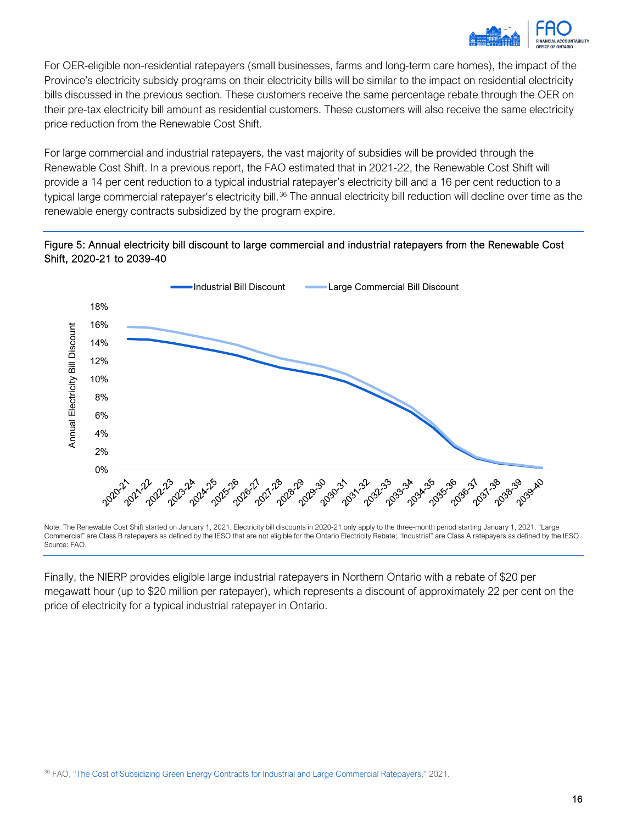

For OER-eligible non-residential ratepayers (small businesses, farms and long-term care homes), the impact of the Province's electricity subsidy programs on their electricity bills will be similar to the impact on residential electricity bills discussed in the previous section. These customers receive the same percentage rebate through the OER on their pre-tax electricity bill amount as residential customers. These customers will also receive the same electricity price reduction from the Renewable Cost Shift.

For large commercial and industrial ratepayers, the vast majority of subsidies will be provided through the Renewable Cost Shift. In a previous report, the FAO estimated that in 2021-22, the Renewable Cost Shift will provide a 14 per cent reduction to a typical industrial ratepayer's electricity bill and a 16 per cent reduction to a typical large commercial ratepayer's electricity bill.<sup>[36](#page-18-0)</sup> The annual electricity bill reduction will decline over time as the renewable energy contracts subsidized by the program expire.

#### Figure 5: Annual electricity bill discount to large commercial and industrial ratepayers from the Renewable Cost Shift, 2020-21 to 2039-40



Note: The Renewable Cost Shift started on January 1, 2021. Electricity bill discounts in 2020-21 only apply to the three-month period starting January 1, 2021. "Large Commercial" are Class B ratepayers as defined by the IESO that are not eligible for the Ontario Electricity Rebate; "Industrial" are Class A ratepayers as defined by the IESO. Source: FAO.

<span id="page-18-0"></span>Finally, the NIERP provides eligible large industrial ratepayers in Northern Ontario with a rebate of \$20 per megawatt hour (up to \$20 million per ratepayer), which represents a discount of approximately 22 per cent on the price of electricity for a typical industrial ratepayer in Ontario.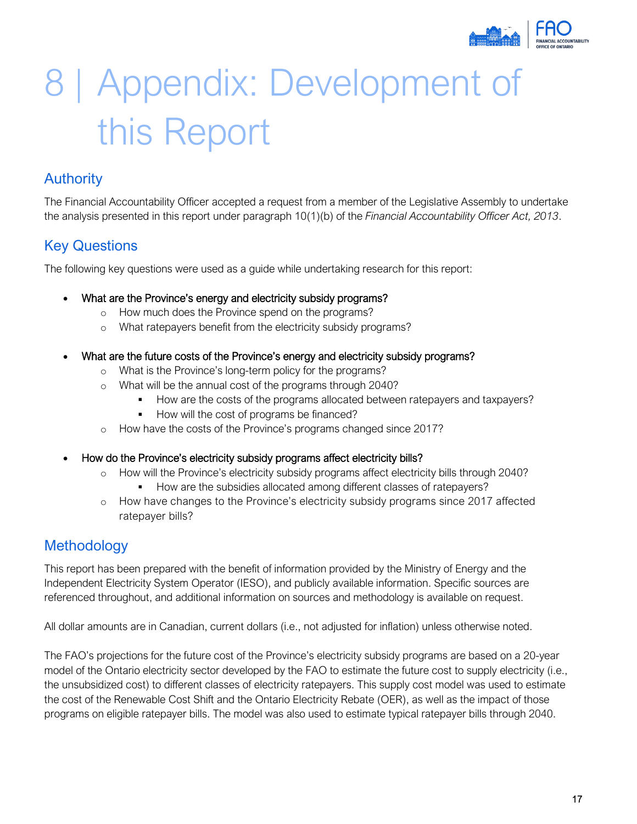

## <span id="page-19-0"></span>8 | Appendix: Development of this Report

### <span id="page-19-1"></span>Authority

The Financial Accountability Officer accepted a request from a member of the Legislative Assembly to undertake the analysis presented in this report under paragraph 10(1)(b) of the *Financial Accountability Officer Act, 2013*.

## <span id="page-19-2"></span>Key Questions

The following key questions were used as a guide while undertaking research for this report:

- What are the Province's energy and electricity subsidy programs?
	- o How much does the Province spend on the programs?
	- o What ratepayers benefit from the electricity subsidy programs?
- What are the future costs of the Province's energy and electricity subsidy programs?
	- What is the Province's long-term policy for the programs?
	- o What will be the annual cost of the programs through 2040?
		- How are the costs of the programs allocated between ratepayers and taxpayers?
		- How will the cost of programs be financed?
	- o How have the costs of the Province's programs changed since 2017?
- How do the Province's electricity subsidy programs affect electricity bills?
	- How will the Province's electricity subsidy programs affect electricity bills through 2040?
		- How are the subsidies allocated among different classes of ratepayers?
	- How have changes to the Province's electricity subsidy programs since 2017 affected ratepayer bills?

### <span id="page-19-3"></span>**Methodology**

This report has been prepared with the benefit of information provided by the Ministry of Energy and the Independent Electricity System Operator (IESO), and publicly available information. Specific sources are referenced throughout, and additional information on sources and methodology is available on request.

All dollar amounts are in Canadian, current dollars (i.e., not adjusted for inflation) unless otherwise noted.

The FAO's projections for the future cost of the Province's electricity subsidy programs are based on a 20-year model of the Ontario electricity sector developed by the FAO to estimate the future cost to supply electricity (i.e., the unsubsidized cost) to different classes of electricity ratepayers. This supply cost model was used to estimate the cost of the Renewable Cost Shift and the Ontario Electricity Rebate (OER), as well as the impact of those programs on eligible ratepayer bills. The model was also used to estimate typical ratepayer bills through 2040.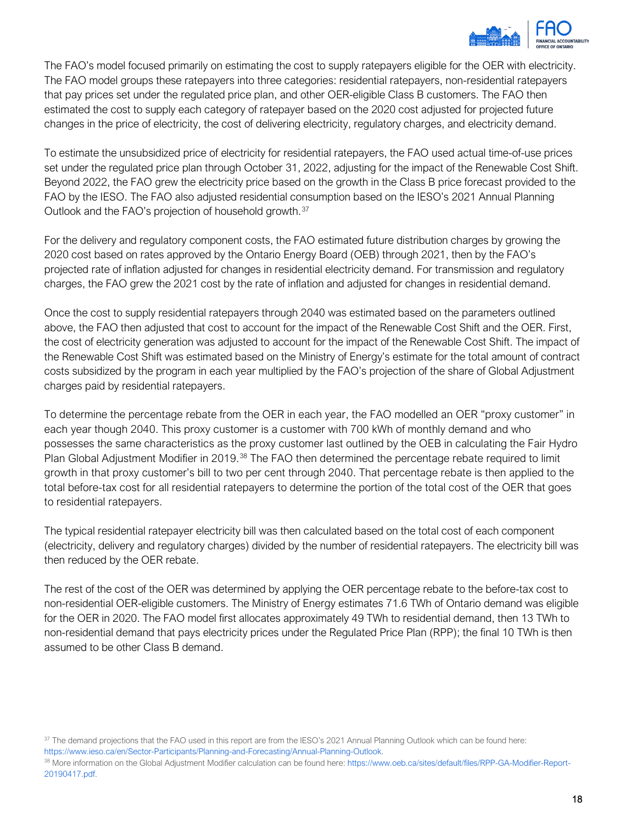

The FAO's model focused primarily on estimating the cost to supply ratepayers eligible for the OER with electricity. The FAO model groups these ratepayers into three categories: residential ratepayers, non-residential ratepayers that pay prices set under the regulated price plan, and other OER-eligible Class B customers. The FAO then estimated the cost to supply each category of ratepayer based on the 2020 cost adjusted for projected future changes in the price of electricity, the cost of delivering electricity, regulatory charges, and electricity demand.

To estimate the unsubsidized price of electricity for residential ratepayers, the FAO used actual time-of-use prices set under the regulated price plan through October 31, 2022, adjusting for the impact of the Renewable Cost Shift. Beyond 2022, the FAO grew the electricity price based on the growth in the Class B price forecast provided to the FAO by the IESO. The FAO also adjusted residential consumption based on the IESO's 2021 Annual Planning Outlook and the FAO's projection of household growth.[37](#page-20-0)

For the delivery and regulatory component costs, the FAO estimated future distribution charges by growing the 2020 cost based on rates approved by the Ontario Energy Board (OEB) through 2021, then by the FAO's projected rate of inflation adjusted for changes in residential electricity demand. For transmission and regulatory charges, the FAO grew the 2021 cost by the rate of inflation and adjusted for changes in residential demand.

Once the cost to supply residential ratepayers through 2040 was estimated based on the parameters outlined above, the FAO then adjusted that cost to account for the impact of the Renewable Cost Shift and the OER. First, the cost of electricity generation was adjusted to account for the impact of the Renewable Cost Shift. The impact of the Renewable Cost Shift was estimated based on the Ministry of Energy's estimate for the total amount of contract costs subsidized by the program in each year multiplied by the FAO's projection of the share of Global Adjustment charges paid by residential ratepayers.

To determine the percentage rebate from the OER in each year, the FAO modelled an OER "proxy customer" in each year though 2040. This proxy customer is a customer with 700 kWh of monthly demand and who possesses the same characteristics as the proxy customer last outlined by the OEB in calculating the Fair Hydro Plan Global Adjustment Modifier in 2019.<sup>[38](#page-20-1)</sup> The FAO then determined the percentage rebate required to limit growth in that proxy customer's bill to two per cent through 2040. That percentage rebate is then applied to the total before-tax cost for all residential ratepayers to determine the portion of the total cost of the OER that goes to residential ratepayers.

The typical residential ratepayer electricity bill was then calculated based on the total cost of each component (electricity, delivery and regulatory charges) divided by the number of residential ratepayers. The electricity bill was then reduced by the OER rebate.

The rest of the cost of the OER was determined by applying the OER percentage rebate to the before-tax cost to non-residential OER-eligible customers. The Ministry of Energy estimates 71.6 TWh of Ontario demand was eligible for the OER in 2020. The FAO model first allocates approximately 49 TWh to residential demand, then 13 TWh to non-residential demand that pays electricity prices under the Regulated Price Plan (RPP); the final 10 TWh is then assumed to be other Class B demand.

[https://www.ieso.ca/en/Sector-Participants/Planning-and-Forecasting/Annual-Planning-Outlook.](https://www.ieso.ca/en/Sector-Participants/Planning-and-Forecasting/Annual-Planning-Outlook)

<span id="page-20-0"></span><sup>&</sup>lt;sup>37</sup> The demand projections that the FAO used in this report are from the IESO's 2021 Annual Planning Outlook which can be found here:

<span id="page-20-1"></span><sup>&</sup>lt;sup>38</sup> More information on the Global Adjustment Modifier calculation can be found here[: https://www.oeb.ca/sites/default/files/RPP-GA-Modifier-Report-](https://www.oeb.ca/sites/default/files/RPP-GA-Modifier-Report-20190417.pdf)[20190417.pdf.](https://www.oeb.ca/sites/default/files/RPP-GA-Modifier-Report-20190417.pdf)